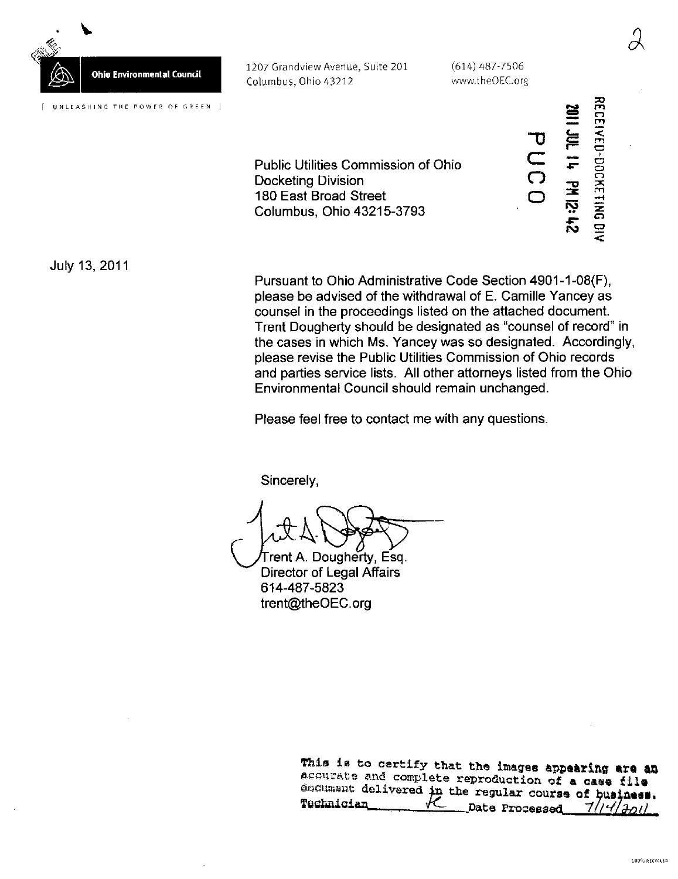

1207 Grandview Avenue, Suite 201 (614) 487-7506 Columbus, Ohio 43212

www.theOEC.org

 $\overline{\Omega}$ ..<br>O  $\boldsymbol{\Xi}$ 

so m <r>

 $\mathcal C$ 

 $\equiv$ 

င်္ o o m

 $\bm{\bm{\circ}}$ c.

r"  $\mathbf{f}$  $\overline{\phantom{a}}$ 

ro

Public Utilities Commission of Ohio Docketing Division 180 East Broad Street Columbus, Ohio 43215-3793

July 13, 2011

Pursuant to Ohio Administrative Code Section 4901-1-08(F), please be advised of the withdrawal of E. Camille Yancey as counsel in the proceedings listed on the attached document. Trent Dougherty should be designated as "counsel of record" in the cases in which Ms. Yancey was so designated. Accordingly, please revise the Public Utilities Commission of Ohio records and parties service lists. All other attorneys listed from the Ohio Environmental Council should remain unchanged.

Please feel free to contact me with any questions.

Sincerely,

Trent A. Dougherty, Esq. Director of Legal Affairs 614-487-5823 [trent@theOEC.org](mailto:trent@theOEC.org) 

> This is to certify that the images appearing are an accurate and complete reproduction of a case file goeument delivered in the regular course of business.  $\text{Technician} \qquad \qquad \text{Let } \text{Proceed} \qquad \frac{7}{4}$